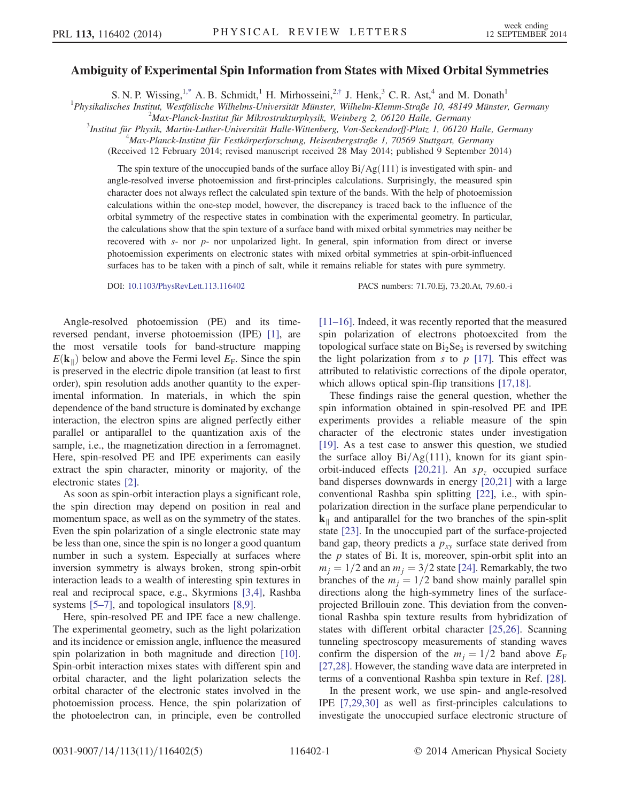## Ambiguity of Experimental Spin Information from States with Mixed Orbital Symmetries

S. N. P. Wissing,  $1^*$  A. B. Schmidt,<sup>1</sup> H. Mirhosseini,<sup>2,[†](#page-3-1)</sup> J. Henk,<sup>3</sup> C. R. Ast,<sup>4</sup> and M. Donath<sup>1</sup>

<span id="page-0-0"></span><sup>1</sup>Physikalisches Institut, Westfälische Wilhelms-Universität Münster, Wilhelm-Klemm-Straße 10, 48149 Münster, Germany<br><sup>2</sup>Max Blanek Institut für Mikrostrukturghysik, Weinhers 2, 06120 Helle Corneany

 $^{2}$ Max-Planck-Institut für Mikrostrukturphysik, Weinberg 2, 06120 Halle, Germany

<sup>3</sup>Institut für Physik, Martin-Luther-Universität Halle-Wittenberg, Von-Seckendorff-Platz 1, 06120 Halle, Germany

 $^{4}$ Max-Planck-Institut für Festkörperforschung, Heisenbergstraße 1, 70569 Stuttgart, Germany

(Received 12 February 2014; revised manuscript received 28 May 2014; published 9 September 2014)

The spin texture of the unoccupied bands of the surface alloy  $Bi/Ag(111)$  is investigated with spin- and angle-resolved inverse photoemission and first-principles calculations. Surprisingly, the measured spin character does not always reflect the calculated spin texture of the bands. With the help of photoemission calculations within the one-step model, however, the discrepancy is traced back to the influence of the orbital symmetry of the respective states in combination with the experimental geometry. In particular, the calculations show that the spin texture of a surface band with mixed orbital symmetries may neither be recovered with s- nor p- nor unpolarized light. In general, spin information from direct or inverse photoemission experiments on electronic states with mixed orbital symmetries at spin-orbit-influenced surfaces has to be taken with a pinch of salt, while it remains reliable for states with pure symmetry.

DOI: [10.1103/PhysRevLett.113.116402](http://dx.doi.org/10.1103/PhysRevLett.113.116402) PACS numbers: 71.70.Ej, 73.20.At, 79.60.-i

Angle-resolved photoemission (PE) and its timereversed pendant, inverse photoemission (IPE) [\[1\],](#page-3-2) are the most versatile tools for band-structure mapping  $E(\mathbf{k}_{\parallel})$  below and above the Fermi level  $E_F$ . Since the spin is preserved in the electric dipole transition (at least to first order), spin resolution adds another quantity to the experimental information. In materials, in which the spin dependence of the band structure is dominated by exchange interaction, the electron spins are aligned perfectly either parallel or antiparallel to the quantization axis of the sample, i.e., the magnetization direction in a ferromagnet. Here, spin-resolved PE and IPE experiments can easily extract the spin character, minority or majority, of the electronic states [\[2\].](#page-3-3)

As soon as spin-orbit interaction plays a significant role, the spin direction may depend on position in real and momentum space, as well as on the symmetry of the states. Even the spin polarization of a single electronic state may be less than one, since the spin is no longer a good quantum number in such a system. Especially at surfaces where inversion symmetry is always broken, strong spin-orbit interaction leads to a wealth of interesting spin textures in real and reciprocal space, e.g., Skyrmions [\[3,4\]](#page-3-4), Rashba systems [5–[7\]](#page-4-0), and topological insulators [\[8,9\]](#page-4-1).

Here, spin-resolved PE and IPE face a new challenge. The experimental geometry, such as the light polarization and its incidence or emission angle, influence the measured spin polarization in both magnitude and direction [\[10\]](#page-4-2). Spin-orbit interaction mixes states with different spin and orbital character, and the light polarization selects the orbital character of the electronic states involved in the photoemission process. Hence, the spin polarization of the photoelectron can, in principle, even be controlled [\[11](#page-4-3)–16]. Indeed, it was recently reported that the measured spin polarization of electrons photoexcited from the topological surface state on  $Bi<sub>2</sub>Se<sub>3</sub>$  is reversed by switching the light polarization from s to  $p$  [\[17\].](#page-4-4) This effect was attributed to relativistic corrections of the dipole operator, which allows optical spin-flip transitions [\[17,18\]](#page-4-4).

These findings raise the general question, whether the spin information obtained in spin-resolved PE and IPE experiments provides a reliable measure of the spin character of the electronic states under investigation [\[19\]](#page-4-5). As a test case to answer this question, we studied the surface alloy  $Bi/Ag(111)$ , known for its giant spin-orbit-induced effects [\[20,21\].](#page-4-6) An  $sp<sub>z</sub>$  occupied surface band disperses downwards in energy [\[20,21\]](#page-4-6) with a large conventional Rashba spin splitting [\[22\],](#page-4-7) i.e., with spinpolarization direction in the surface plane perpendicular to k<sup>∥</sup> and antiparallel for the two branches of the spin-split state [\[23\].](#page-4-8) In the unoccupied part of the surface-projected band gap, theory predicts a  $p_{xy}$  surface state derived from the  $p$  states of Bi. It is, moreover, spin-orbit split into an  $m_i = 1/2$  and an  $m_i = 3/2$  state [\[24\].](#page-4-9) Remarkably, the two branches of the  $m_i = 1/2$  band show mainly parallel spin directions along the high-symmetry lines of the surfaceprojected Brillouin zone. This deviation from the conventional Rashba spin texture results from hybridization of states with different orbital character [\[25,26\]](#page-4-10). Scanning tunneling spectroscopy measurements of standing waves confirm the dispersion of the  $m_i = 1/2$  band above  $E_F$ [\[27,28\]](#page-4-11). However, the standing wave data are interpreted in terms of a conventional Rashba spin texture in Ref. [\[28\]](#page-4-12).

In the present work, we use spin- and angle-resolved IPE [\[7,29,30\]](#page-4-13) as well as first-principles calculations to investigate the unoccupied surface electronic structure of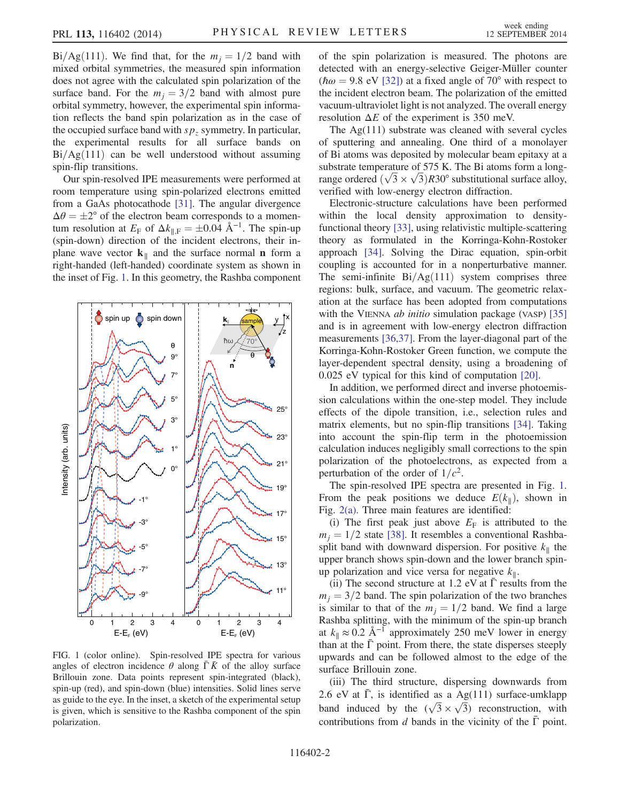Bi/Ag(111). We find that, for the  $m_i = 1/2$  band with mixed orbital symmetries, the measured spin information does not agree with the calculated spin polarization of the surface band. For the  $m_i = 3/2$  band with almost pure orbital symmetry, however, the experimental spin information reflects the band spin polarization as in the case of the occupied surface band with  $sp<sub>z</sub>$  symmetry. In particular, the experimental results for all surface bands on  $Bi/Ag(111)$  can be well understood without assuming spin-flip transitions.

Our spin-resolved IPE measurements were performed at room temperature using spin-polarized electrons emitted from a GaAs photocathode [\[31\].](#page-4-14) The angular divergence  $\Delta\theta = \pm 2^{\circ}$  of the electron beam corresponds to a momentum resolution at  $E_F$  of  $\Delta k_{\parallel,F} = \pm 0.04 \text{ Å}^{-1}$ . The spin-up (spin-down) direction of the incident electrons, their inplane wave vector  $k_{\parallel}$  and the surface normal **n** form a right-handed (left-handed) coordinate system as shown in the inset of Fig. [1.](#page-1-0) In this geometry, the Rashba component

<span id="page-1-0"></span>

FIG. 1 (color online). Spin-resolved IPE spectra for various angles of electron incidence  $\theta$  along  $\overline{\Gamma} \overline{K}$  of the alloy surface Brillouin zone. Data points represent spin-integrated (black), spin-up (red), and spin-down (blue) intensities. Solid lines serve as guide to the eye. In the inset, a sketch of the experimental setup is given, which is sensitive to the Rashba component of the spin polarization.

of the spin polarization is measured. The photons are detected with an energy-selective Geiger-Müller counter ( $\hbar \omega = 9.8$  eV [\[32\]\)](#page-4-15) at a fixed angle of 70° with respect to the incident electron beam. The polarization of the emitted vacuum-ultraviolet light is not analyzed. The overall energy resolution  $\Delta E$  of the experiment is 350 meV.

The Ag(111) substrate was cleaned with several cycles of sputtering and annealing. One third of a monolayer of Bi atoms was deposited by molecular beam epitaxy at a substrate temperature of 575 K. The Bi atoms form a longsubstrate temperature of 575 K. The Bi atoms form a long-<br>range ordered  $(\sqrt{3} \times \sqrt{3})R30^{\circ}$  substitutional surface alloy, verified with low-energy electron diffraction.

Electronic-structure calculations have been performed within the local density approximation to densityfunctional theory [\[33\],](#page-4-16) using relativistic multiple-scattering theory as formulated in the Korringa-Kohn-Rostoker approach [\[34\]](#page-4-17). Solving the Dirac equation, spin-orbit coupling is accounted for in a nonperturbative manner. The semi-infinite  $Bi/Ag(111)$  system comprises three regions: bulk, surface, and vacuum. The geometric relaxation at the surface has been adopted from computations with the VIENNA *ab initio* simulation package (VASP) [\[35\]](#page-4-18) and is in agreement with low-energy electron diffraction measurements [\[36,37\].](#page-4-19) From the layer-diagonal part of the Korringa-Kohn-Rostoker Green function, we compute the layer-dependent spectral density, using a broadening of 0.025 eV typical for this kind of computation [\[20\].](#page-4-6)

In addition, we performed direct and inverse photoemission calculations within the one-step model. They include effects of the dipole transition, i.e., selection rules and matrix elements, but no spin-flip transitions [\[34\].](#page-4-17) Taking into account the spin-flip term in the photoemission calculation induces negligibly small corrections to the spin polarization of the photoelectrons, as expected from a perturbation of the order of  $1/c^2$ .

The spin-resolved IPE spectra are presented in Fig. [1](#page-1-0). From the peak positions we deduce  $E(k<sub>∥</sub>)$ , shown in Fig. [2\(a\).](#page-2-0) Three main features are identified:

(i) The first peak just above  $E_F$  is attributed to the  $m_i = 1/2$  state [\[38\].](#page-4-20) It resembles a conventional Rashbasplit band with downward dispersion. For positive  $k_{\parallel}$  the upper branch shows spin-down and the lower branch spinup polarization and vice versa for negative  $k_{\parallel}$ .

(ii) The second structure at 1.2 eV at  $\overline{\Gamma}$  results from the  $m_i = 3/2$  band. The spin polarization of the two branches is similar to that of the  $m_i = 1/2$  band. We find a large Rashba splitting, with the minimum of the spin-up branch at  $k_{\parallel} \approx 0.2 \text{ Å}^{-1}$  approximately 250 meV lower in energy than at the  $\bar{\Gamma}$  point. From there, the state disperses steeply upwards and can be followed almost to the edge of the surface Brillouin zone.

(iii) The third structure, dispersing downwards from 2.6 eV at  $\overline{\Gamma}$ , is identified as a Ag(111) surface-umklapp 2.6 eV at 1, is identified as a Ag(111) surface-umklapp<br>band induced by the  $(\sqrt{3} \times \sqrt{3})$  reconstruction, with contributions from d bands in the vicinity of the  $\overline{\Gamma}$  point.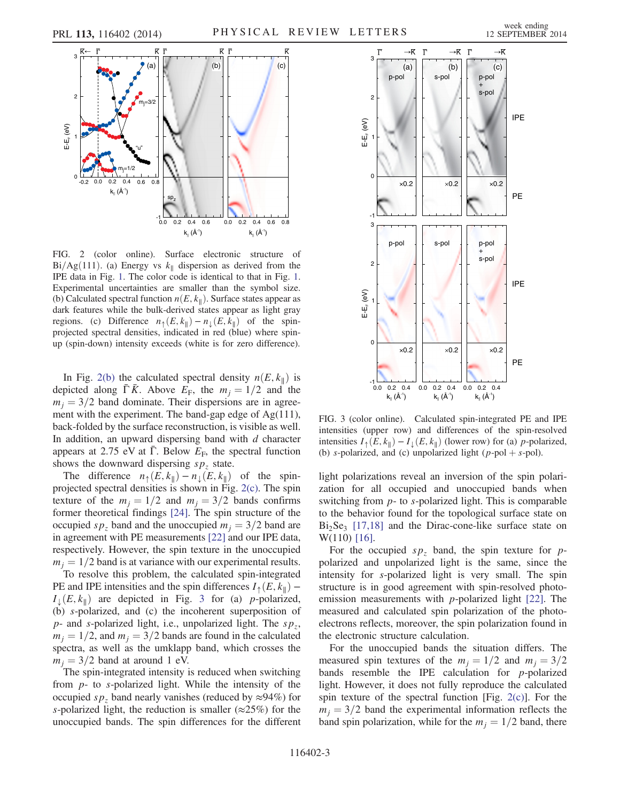<span id="page-2-0"></span>

FIG. 2 (color online). Surface electronic structure of Bi/Ag $(111)$ . (a) Energy vs k<sub>||</sub> dispersion as derived from the IPE data in Fig. [1.](#page-1-0) The color code is identical to that in Fig. [1.](#page-1-0) Experimental uncertainties are smaller than the symbol size. (b) Calculated spectral function  $n(E, k_{\parallel})$ . Surface states appear as dark features while the bulk-derived states appear as light gray regions. (c) Difference  $n_{\uparrow}(E, k_{\parallel}) - n_{\downarrow}(E, k_{\parallel})$  of the spinprojected spectral densities, indicated in red (blue) where spinup (spin-down) intensity exceeds (white is for zero difference).

In Fig. [2\(b\)](#page-2-0) the calculated spectral density  $n(E, k_{\parallel})$  is depicted along Γ $\overline{K}$ . Above  $E_F$ , the  $m_j = 1/2$  and the  $m_i = 3/2$  band dominate. Their dispersions are in agreement with the experiment. The band-gap edge of Ag(111), back-folded by the surface reconstruction, is visible as well. In addition, an upward dispersing band with  $d$  character appears at 2.75 eV at Γ. Below  $E_F$ , the spectral function shows the downward dispersing  $sp<sub>z</sub>$  state.

The difference  $n_{\uparrow}(E, k_{\parallel}) - n_{\downarrow}(E, k_{\parallel})$  of the spinprojected spectral densities is shown in Fig. [2\(c\).](#page-2-0) The spin texture of the  $m_j = 1/2$  and  $m_j = 3/2$  bands confirms former theoretical findings [\[24\].](#page-4-9) The spin structure of the occupied  $s p<sub>z</sub>$  band and the unoccupied  $m<sub>i</sub> = 3/2$  band are in agreement with PE measurements [\[22\]](#page-4-7) and our IPE data, respectively. However, the spin texture in the unoccupied  $m_i = 1/2$  band is at variance with our experimental results.

To resolve this problem, the calculated spin-integrated PE and IPE intensities and the spin differences  $I_{\uparrow}(E, k_{\parallel})$  –  $I_{\perp}(E, k_{\parallel})$  are depicted in Fig. [3](#page-2-1) for (a) *p*-polarized, (b) s-polarized, and (c) the incoherent superposition of  $p$ - and s-polarized light, i.e., unpolarized light. The  $sp_z$ ,  $m_i = 1/2$ , and  $m_i = 3/2$  bands are found in the calculated spectra, as well as the umklapp band, which crosses the  $m_i = 3/2$  band at around 1 eV.

The spin-integrated intensity is reduced when switching from  $p$ - to s-polarized light. While the intensity of the occupied sp<sub>z</sub> band nearly vanishes (reduced by  $\approx$ 94%) for s-polarized light, the reduction is smaller ( $\approx$ 25%) for the unoccupied bands. The spin differences for the different

<span id="page-2-1"></span>

FIG. 3 (color online). Calculated spin-integrated PE and IPE intensities (upper row) and differences of the spin-resolved intensities  $I_{\uparrow}(E, k_{\parallel}) - I_{\perp}(E, k_{\parallel})$  (lower row) for (a) p-polarized, (b) s-polarized, and (c) unpolarized light (p-pol + s-pol).

light polarizations reveal an inversion of the spin polarization for all occupied and unoccupied bands when switching from p- to s-polarized light. This is comparable to the behavior found for the topological surface state on  $Bi<sub>2</sub>Se<sub>3</sub>$  [\[17,18\]](#page-4-4) and the Dirac-cone-like surface state on W(110) [\[16\]](#page-4-21).

For the occupied  $sp<sub>z</sub>$  band, the spin texture for ppolarized and unpolarized light is the same, since the intensity for s-polarized light is very small. The spin structure is in good agreement with spin-resolved photoemission measurements with  $p$ -polarized light [\[22\].](#page-4-7) The measured and calculated spin polarization of the photoelectrons reflects, moreover, the spin polarization found in the electronic structure calculation.

For the unoccupied bands the situation differs. The measured spin textures of the  $m_j = 1/2$  and  $m_j = 3/2$ bands resemble the IPE calculation for p-polarized light. However, it does not fully reproduce the calculated spin texture of the spectral function [Fig.  $2(c)$ ]. For the  $m_i = 3/2$  band the experimental information reflects the band spin polarization, while for the  $m<sub>i</sub> = 1/2$  band, there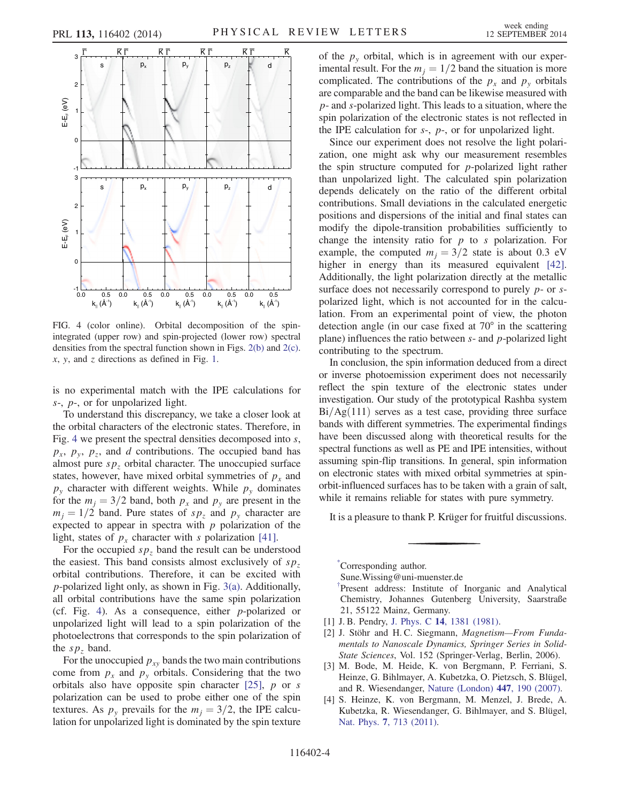<span id="page-3-5"></span>

FIG. 4 (color online). Orbital decomposition of the spinintegrated (upper row) and spin-projected (lower row) spectral densities from the spectral function shown in Figs. [2\(b\)](#page-2-0) and [2\(c\).](#page-2-0)  $x$ ,  $y$ , and  $z$  directions as defined in Fig. [1.](#page-1-0)

is no experimental match with the IPE calculations for s-, p-, or for unpolarized light.

To understand this discrepancy, we take a closer look at the orbital characters of the electronic states. Therefore, in Fig. [4](#page-3-5) we present the spectral densities decomposed into  $s$ ,  $p_x$ ,  $p_y$ ,  $p_z$ , and d contributions. The occupied band has almost pure  $sp<sub>z</sub>$  orbital character. The unoccupied surface states, however, have mixed orbital symmetries of  $p_x$  and  $p_{y}$  character with different weights. While  $p_{y}$  dominates for the  $m_i = 3/2$  band, both  $p_x$  and  $p_y$  are present in the  $m_i = 1/2$  band. Pure states of  $sp_z$  and  $p_y$  character are expected to appear in spectra with  $p$  polarization of the light, states of  $p_x$  character with s polarization [\[41\].](#page-4-22)

For the occupied  $sp<sub>z</sub>$  band the result can be understood the easiest. This band consists almost exclusively of  $sp<sub>z</sub>$ orbital contributions. Therefore, it can be excited with p-polarized light only, as shown in Fig. [3\(a\)](#page-2-1). Additionally, all orbital contributions have the same spin polarization (cf. Fig. [4](#page-3-5)). As a consequence, either p-polarized or unpolarized light will lead to a spin polarization of the photoelectrons that corresponds to the spin polarization of the  $sp<sub>z</sub>$  band.

For the unoccupied  $p_{xy}$  bands the two main contributions come from  $p_x$  and  $p_y$  orbitals. Considering that the two orbitals also have opposite spin character  $[25]$ , p or s polarization can be used to probe either one of the spin textures. As  $p_v$  prevails for the  $m_i = 3/2$ , the IPE calculation for unpolarized light is dominated by the spin texture of the  $p_y$  orbital, which is in agreement with our experimental result. For the  $m_i = 1/2$  band the situation is more complicated. The contributions of the  $p_x$  and  $p_y$  orbitals are comparable and the band can be likewise measured with p- and s-polarized light. This leads to a situation, where the spin polarization of the electronic states is not reflected in the IPE calculation for  $s<sub>1</sub>$ ,  $p<sub>2</sub>$ , or for unpolarized light.

Since our experiment does not resolve the light polarization, one might ask why our measurement resembles the spin structure computed for  $p$ -polarized light rather than unpolarized light. The calculated spin polarization depends delicately on the ratio of the different orbital contributions. Small deviations in the calculated energetic positions and dispersions of the initial and final states can modify the dipole-transition probabilities sufficiently to change the intensity ratio for  $p$  to s polarization. For example, the computed  $m_i = 3/2$  state is about 0.3 eV higher in energy than its measured equivalent [\[42\]](#page-4-23). Additionally, the light polarization directly at the metallic surface does not necessarily correspond to purely  $p$ - or  $s$ polarized light, which is not accounted for in the calculation. From an experimental point of view, the photon detection angle (in our case fixed at 70° in the scattering plane) influences the ratio between  $s$ - and  $p$ -polarized light contributing to the spectrum.

In conclusion, the spin information deduced from a direct or inverse photoemission experiment does not necessarily reflect the spin texture of the electronic states under investigation. Our study of the prototypical Rashba system  $Bi/Ag(111)$  serves as a test case, providing three surface bands with different symmetries. The experimental findings have been discussed along with theoretical results for the spectral functions as well as PE and IPE intensities, without assuming spin-flip transitions. In general, spin information on electronic states with mixed orbital symmetries at spinorbit-influenced surfaces has to be taken with a grain of salt, while it remains reliable for states with pure symmetry.

It is a pleasure to thank P. Krüger for fruitful discussions.

<span id="page-3-1"></span><span id="page-3-0"></span>[\\*](#page-0-0) Corresponding author. Sune.Wissing@uni‑muenster.de [†](#page-0-0) Present address: Institute of Inorganic and Analytical Chemistry, Johannes Gutenberg University, Saarstraße 21, 55122 Mainz, Germany.

- <span id="page-3-3"></span><span id="page-3-2"></span>[1] J. B. Pendry, J. Phys. C 14[, 1381 \(1981\)](http://dx.doi.org/10.1088/0022-3719/14/9/022).
- <span id="page-3-4"></span>[2] J. Stöhr and H.C. Siegmann, Magnetism-From Fundamentals to Nanoscale Dynamics, Springer Series in Solid-State Sciences, Vol. 152 (Springer-Verlag, Berlin, 2006).
- [3] M. Bode, M. Heide, K. von Bergmann, P. Ferriani, S. Heinze, G. Bihlmayer, A. Kubetzka, O. Pietzsch, S. Blügel, and R. Wiesendanger, [Nature \(London\)](http://dx.doi.org/10.1038/nature05802) 447, 190 (2007).
- [4] S. Heinze, K. von Bergmann, M. Menzel, J. Brede, A. Kubetzka, R. Wiesendanger, G. Bihlmayer, and S. Blügel, Nat. Phys. 7[, 713 \(2011\)](http://dx.doi.org/10.1038/nphys2045).